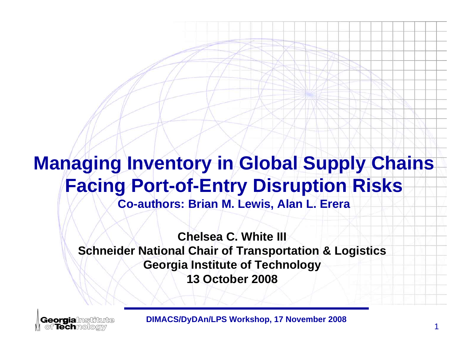# **Managing Inventory in Global Supply Chains Facing Port-of-Entry Disruption Risks**

**Co-authors: Brian M. Lewis, Alan L. Erera**

**Chelsea C. White III Schneider National Chair of Transportation & Logistics Georgia Institute of Technology 13 October 2008**

**Georgialnstitute** of Techmologiv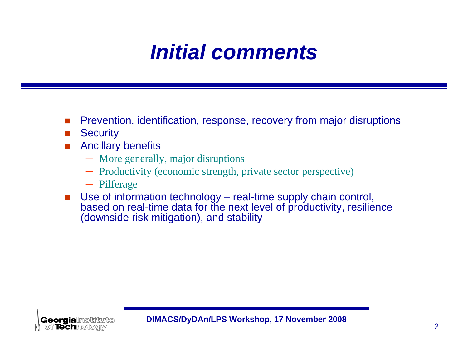# *Initial comments*

- П Prevention, identification, response, recovery from major disruptions
- $\Box$ **Security**
- П Ancillary benefits
	- More generally, major disruptions
	- Productivity (economic strength, private sector perspective)
	- Pilferage
- $\mathcal{L}_{\mathcal{A}}$  Use of information technology – real-time supply chain control, based on real-time data for the next level of productivity, resilience (downside risk mitigation), and stability

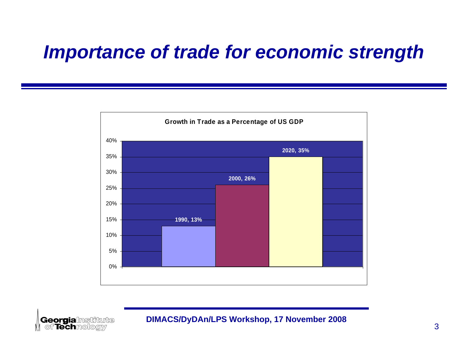## *Importance of trade for economic strength*



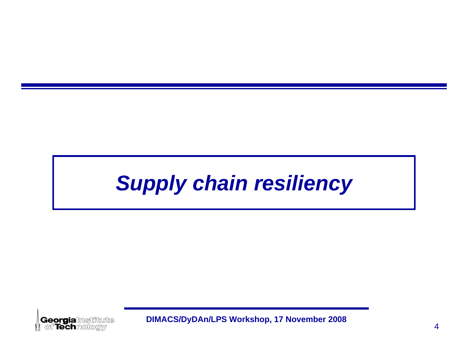# *Supply chain resiliency Supply chain resiliency*

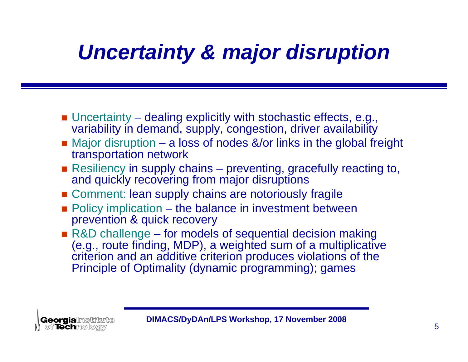# *Uncertainty & major disruption*

- Uncertainty dealing explicitly with stochastic effects, e.g., variability in demand, supply, congestion, driver availability
- Major disruption a loss of nodes &/or links in the global freight transportation network
- Resiliency in supply chains preventing, gracefully reacting to, and quickly recovering from major disruptions
- **Example 1.5 Comment: lean supply chains are notoriously fragile**
- **Policy implication the balance in investment between** prevention & quick recovery
- R&D challenge for models of sequential decision making (e.g., route finding, MDP), a weighted sum of a multiplicative criterion and an additive criterion produces violations of the Principle of Optimality (dynamic programming); games

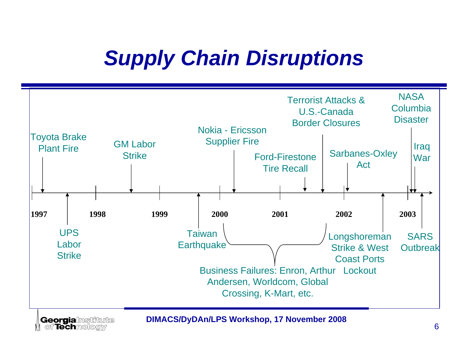# *Supply Chain Disruptions*



**Georgia**lnstitute<br>| of Technology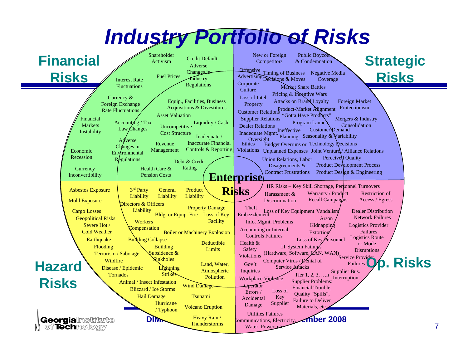#### *Industry Portfolio of Risks* New or Foreign Public Boycott Shareholder **Financial Strategic**  Credit DefaultActivism**Competitors** & CondemnationAdverse Offensive Timing of Business Negative Media Changes in **Risks Risks** Fuel Prices**Industry** Advertising Decisions & Moves Interest Rate Coverage Corporate **Regulations** FluctuationsMarket Share Battles**Culture** Pricing & Incentive Wars Currency & Loss of Intel. Attacks on Brand Loyalty Equip., Facilities, Business Foreign Market Foreign Exchange **Property** Acquisitions & Divestitures Protectionism Rate FluctuationsCustomer Relations Product-Market Alignment Asset Valuation"Gotta Have Products" Financial Supplier Relations Mergers & Industry Liquidity / Cash Accounting  $/Tax$ Program Launch Program Launch Dealer Relations **Markets** ConsolidationUncompetitive Law Changes Customer<sup>D</sup>emand Inadequate Mgmt. Ineffective Instability Cost StructureInadequate / Planning Seasonality & Variability Oversight Adverse Inaccurate Financial Revenue Ethics Budget Overruns or Technology Decisions Changes in Controls & Reporting Economic Management Violations Unplanned Expenses Joint Venture / Alliance Relations **Environmental** RecessionPerceived Quality **Regulations** Union Relations, Labor Debt & Credit Product Development Process Disagreements & Health Care & Rating **Currency** Contract FrustrationsProduct Design & Engineering Inconvertibility Pension Costs**Enterprise**  HR Risks – Key Skill Shortage, Personnel Turnovers Asbestos Exposure 3r<sup>d</sup> Party **General Risks**Product Warranty / Product Restriction of Harassment & **Liability** Liability **Liability** DiscriminationRecall Campaigns Access / Egress Mold Exposure Directors & Officers Property Damage TheftLiability Cargo Losses Dealer Distribution Loss of Key Equipment Vandalism Embezzlement Bldg. or Equip. Fire Loss of Key Network FailuresGeopolitical Risks Arson**Workers Facility**  Info. Mgmt. Problems Severe Hot / Kidnapping Logistics Provider **Compensation** Accounting or Internal Cold WeatherBoiler or Machinery Explosion **Extortion** FailuresControls FailuresLogistics Route **Earthquake Building Collapse** Loss of Key Personnel Deductible Health & or Mode IT System Failurgs Flooding **Building** LimitsSafety **Disruptions**  $(Hardware, Software,  $\angle$ AN, WAN)$ Service Provider Terrorism / Sabotage Subsidence & Violations**Op. Risks Wildfire** Sinkholes Computer Virus / Denial of **Hazard**  Gov't FailuresLand, Water, Disease / Epidemic **Lightning** Service Attacks Atmospheric Inquiries Supplier Bus. Tornados**Strikes** Tier 1, 2, 3, …n **Pollution** Workplace Violence Interruption **Risks**Supplier Problems: Animal / Insect InfestationWind Damage **Operator** Financial Trouble, Blizzard / Ice Storms Loss of Errors / Quality "Spills", Hail Damage TsunamiAccidental Key Failure to Deliver Supplier **Hurricane** Damage Volcano Eruption Materials, etc. / Typhoon Utilities Failures Heavy Rain / **Georgialnstitute DIMAN/LANGER MAN/LINUX PROPERTY AND THUNDER 2008**<br>Thunderstorms Water, Power etc. Communications, Electricity,

Thunderstorms

Water, Power, etc.

of Techmologiv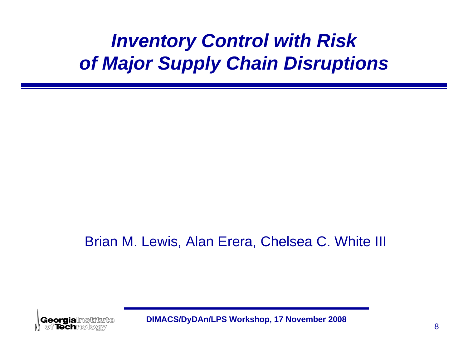## *Inventory Control with Risk of Major Supply Chain Disruptions*

### Brian M. Lewis, Alan Erera, Chelsea C. White III

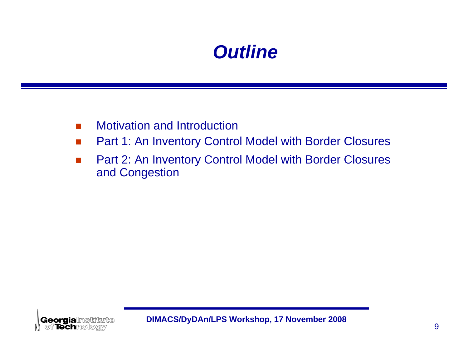## *Outline*

- $\sim$ Motivation and Introduction
- $\mathcal{L}_{\mathcal{A}}$ Part 1: An Inventory Control Model with Border Closures
- $\sim$  Part 2: An Inventory Control Model with Border Closures and Congestion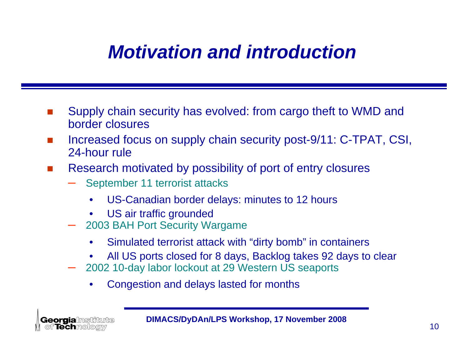## *Motivation and introduction*

- F Supply chain security has evolved: from cargo theft to WMD and border closures
- F Increased focus on supply chain security post-9/11: C-TPAT, CSI, 24-hour rule
- $\mathcal{L}(\mathcal{A})$  Research motivated by possibility of port of entry closures
	- September 11 terrorist attacks
		- $\bullet$ US-Canadian border delays: minutes to 12 hours
		- •US air traffic grounded
	- 2003 BAH Port Security Wargame
		- $\bullet$ Simulated terrorist attack with "dirty bomb" in containers
		- •All US ports closed for 8 days, Backlog takes 92 days to clear
	- 2002 10-day labor lockout at 29 Western US seaports
		- $\bullet$ Congestion and delays lasted for months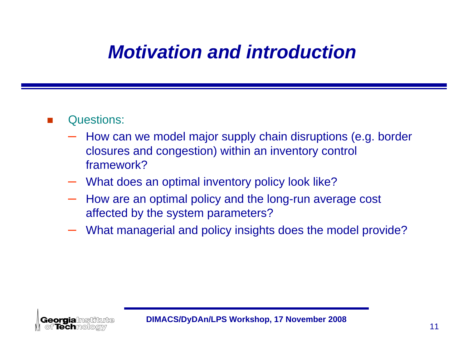## *Motivation and introduction*

- $\mathcal{L}^{\mathcal{L}}$  Questions:
	- How can we model major supply chain disruptions (e.g. border closures and congestion) within an inventory control framework?
	- What does an optimal inventory policy look like?
	- How are an optimal policy and the long-run average cost affected by the system parameters?
	- What managerial and policy insights does the model provide?

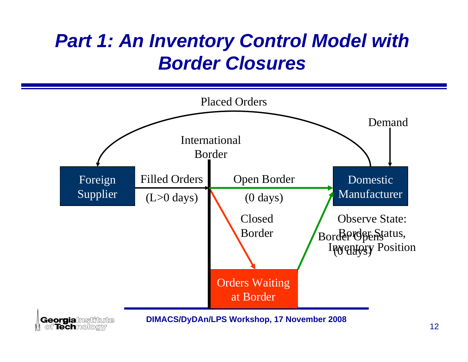## *Part 1: An Inventory Control Model with Border Closures*

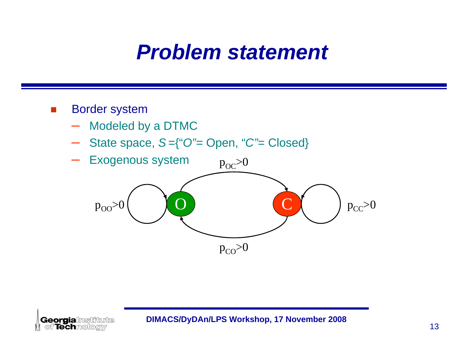## *Problem statement*

### $\mathcal{C}^{\mathcal{A}}$ Border system

- –Modeled by a DTMC
- $\mathcal{L}_{\mathcal{A}}$  , and the set of  $\mathcal{L}_{\mathcal{A}}$ State space, *S* ={"*O"=* Open, "*C"=* Closed}

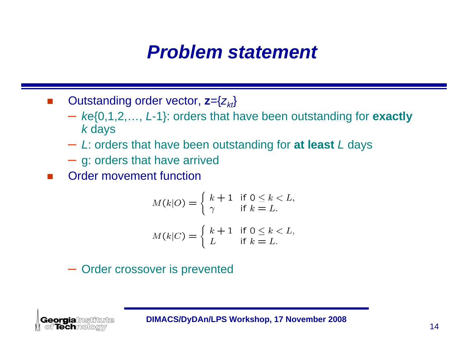## *Problem statement*

- $\sim$ ■ Outstanding order vector, **z**={ $z_{kt}$ }
	- *k*e{0,1,2,…, *L*-1}: orders that have been outstanding for **exactly** *k* days
	- *L*: orders that have been outstanding for **at least** *L* days
	- g: orders that have arrived
- F Order movement function

$$
M(k|O) = \begin{cases} k+1 & \text{if } 0 \le k < L, \\ \gamma & \text{if } k = L. \end{cases}
$$
\n
$$
M(k|C) = \begin{cases} k+1 & \text{if } 0 \le k < L, \\ L & \text{if } k = L. \end{cases}
$$

– Order crossover is prevented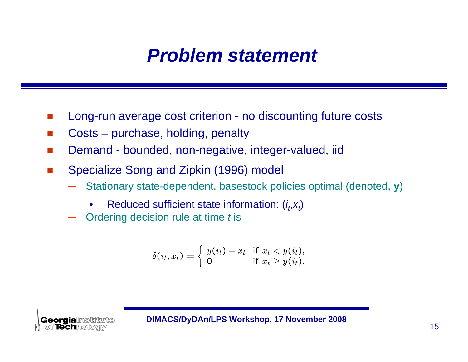## *Problem statement*

- Long-run average cost criterion no discounting future costs
- **Tale** Costs – purchase, holding, penalty
- F Demand - bounded, non-negative, integer-valued, iid
- $\mathcal{L}^{\text{max}}$  Specialize Song and Zipkin (1996) model
	- Stationary state-dependent, basestock policies optimal (denoted, **y**)
		- •Reduced sufficient state information: (*i t*,*xt*)
	- Ordering decision rule at time *t* is

$$
\delta(i_t, x_t) = \begin{cases} y(i_t) - x_t & \text{if } x_t < y(i_t), \\ 0 & \text{if } x_t \ge y(i_t). \end{cases}
$$

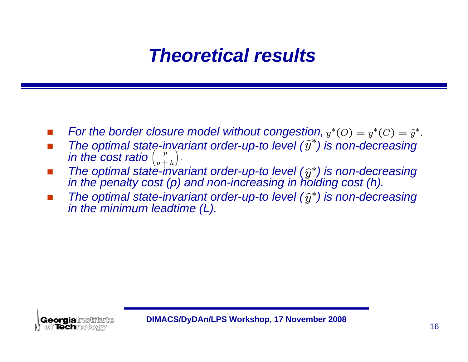## *Theoretical results*

- F *For the border closure model without congestion,*  $y^*(O) = y^*(C) = \hat{y}^*$ .
- F ■ The optimal state-invariant order-up-to level ( $\hat{y}^*$ ) is non-decreasing *in the cost ratio*
- $\overline{\phantom{a}}$  $\blacksquare$  The optimal state-invariant order-up-to level  $(\widehat{y}^*)$  is non-decreasing *in the penalty cost (p) and non-increasing in holding cost (h).*
- F The optimal state-invariant order-up-to level  $(\widehat{y}^*)$  is non-decreasing *in the minimum leadtime (L).*

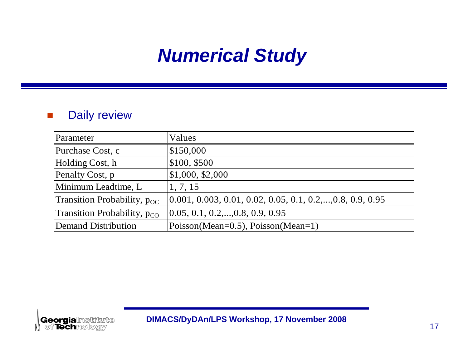## *Numerical Study*

### $\mathcal{L}^{\mathcal{L}}$ Daily review

| Parameter                        | Values                                                                                                                                                                                                                             |
|----------------------------------|------------------------------------------------------------------------------------------------------------------------------------------------------------------------------------------------------------------------------------|
| Purchase Cost, c                 | \$150,000                                                                                                                                                                                                                          |
| Holding Cost, h                  | \$100, \$500                                                                                                                                                                                                                       |
| Penalty Cost, p                  | $\vert 1,000, 12,000 \vert$                                                                                                                                                                                                        |
| Minimum Leadtime, L              | 1, 7, 15                                                                                                                                                                                                                           |
| Transition Probability, $p_{OC}$ | $[0.001, 0.003, 0.01, 0.02, 0.05, 0.1, 0.2, \ldots, 0.8, 0.9, 0.95, 0.00, 0.00, 0.00, 0.00, 0.00, 0.00, 0.00, 0.00, 0.00, 0.00, 0.00, 0.00, 0.00, 0.00, 0.00, 0.00, 0.00, 0.00, 0.00, 0.00, 0.00, 0.00, 0.00, 0.00, 0.00, 0.00, 0$ |
| Transition Probability, $p_{CO}$ | $[0.05, 0.1, 0.2, \ldots, 0.8, 0.9, 0.95]$                                                                                                                                                                                         |
| <b>Demand Distribution</b>       | Poisson(Mean=0.5), Poisson(Mean=1)                                                                                                                                                                                                 |

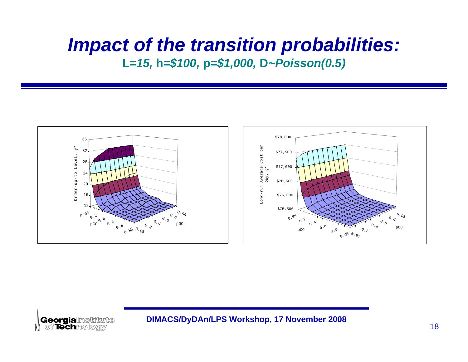### *Impact of the transition probabilities:* **L***=15,*  **h***=\$100,*  **p***=\$1,000,*  **D***~Poisson(0.5)*



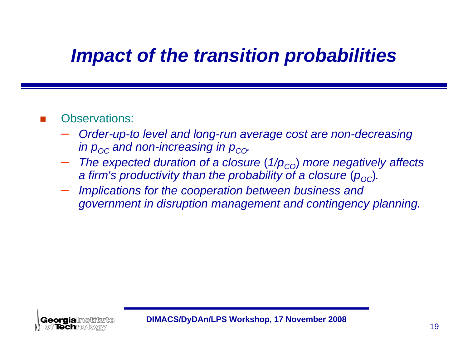## *Impact of the transition probabilities*

### F Observations:

- *Order-up-to level and long-run average cost are non-decreasing*  in  $\bm{{\mathsf{p}}}_{{\mathsf{O}}{\mathsf{C}}}$  and non-increasing in  $\bm{{\mathsf{p}}}_{{\mathsf{C}}{\mathsf{O}}}$ .
- $-$  The expected duration of a closure (1/p<sub>co</sub>) more negatively affects *a firm's productivity than the probability of a closure*  $(p_{\rm OC})$ *.*
- *Implications for the cooperation between business and government in disruption management and contingency planning.*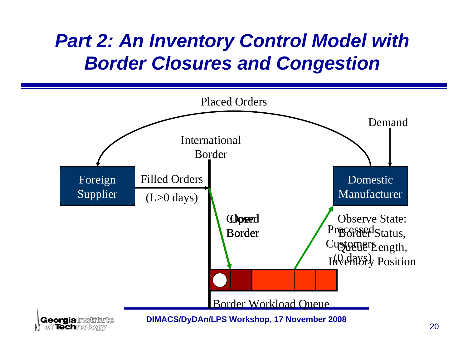## *Part 2: An Inventory Control Model with Border Closures and Congestion*

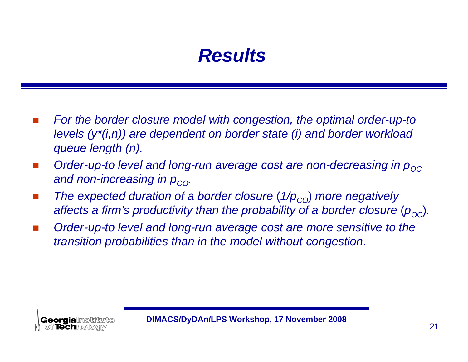## *Results*

- $\mathbb{R}^n$  *For the border closure model with congestion, the optimal order-up-to levels (y\*(i,n)) are dependent on border state (i) and border workload queue length (n).*
- b. *Order-up-to level and long-run average cost are non-decreasing in p<sub>oc</sub> and non-increasing in p<sub>co</sub>.*
- $\sim$ ■ *The expected duration of a border closure* (1/p<sub>co</sub>) *more negatively* affects a firm's productivity than the probability of a border closure  $\left(p_{\text{o}c}\right)$ .
- *Order-up-to level and long-run average cost are more sensitive to the transition probabilities than in the model without congestion.*

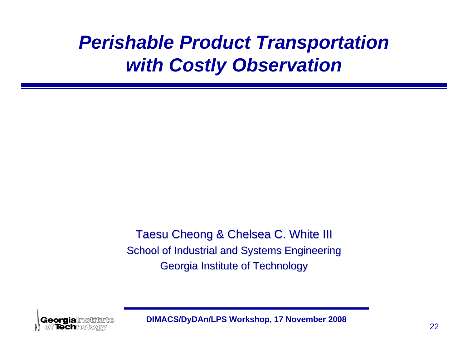## *Perishable Product Transportation with Costly Observation*

Taesu Cheong & Chelsea C. White **III** School of Industrial and Systems Engineering Georgia Institute of Technology Georgia Institute of Technology

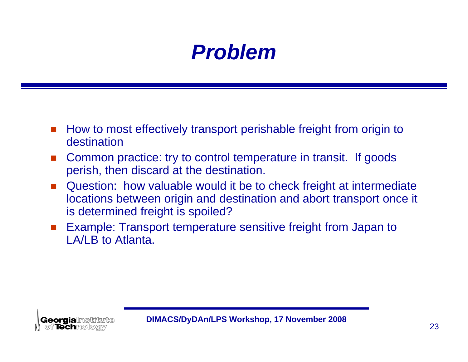# *Problem*

- F How to most effectively transport perishable freight from origin to destination
- $\mathcal{L}_{\mathcal{A}}$  Common practice: try to control temperature in transit. If goods perish, then discard at the destination.
- $\mathcal{L}^{\mathcal{L}}$  Question: how valuable would it be to check freight at intermediate locations between origin and destination and abort transport once it is determined freight is spoiled?
- $\mathcal{L}^{\text{max}}$  Example: Transport temperature sensitive freight from Japan to LA/LB to Atlanta.

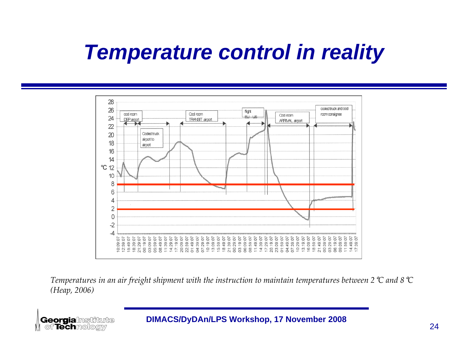# *Temperature control in reality*



Temperatures in an air freight shipment with the instruction to maintain temperatures between 2  $\heartsuit$  and 8  $\heartsuit$ *(Heap, 2006)*

**Georgia**lnstitute<br>| of Technology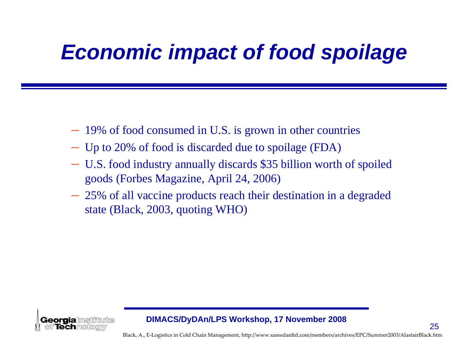# *Economic impact of food spoilage*

- 19% of food consumed in U.S. is grown in other countries
- Up to 20% of food is discarded due to spoilage (FDA)
- U.S. food industry annually discards \$35 billion worth of spoiled goods (Forbes Magazine, April 24, 2006)
- 25% of all vaccine products reach their destination in a degraded state (Black, 2003, quoting WHO)



### **DIMACS/DyDAn/LPS Workshop, 17 November 2008**

Black, A., E‐Logistics in Cold Chain Management, http://www.samedanltd.com/members/archives/EPC/Summer2003/AlastairBlack.htm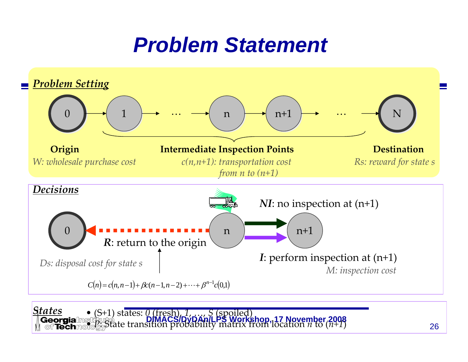## *Problem Statement*



 (S+1) states: *0* (fresh), *1*, …, *S* (spoiled) Georgialm **DIMACS/DyDAn/LPS Workshop, 17 November 2008** • *P*: State transition probability matrix from location *n* to (*n+1*)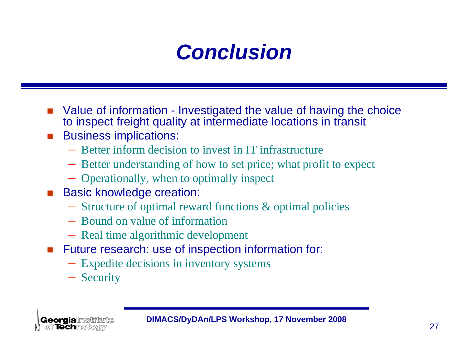# *Conclusion*

- F Value of information - Investigated the value of having the choice to inspect freight quality at intermediate locations in transit
- $\overline{\phantom{a}}$  Business implications:
	- Better inform decision to invest in IT infrastructure
	- Better understanding of how to set price; what profit to expect
	- Operationally, when to optimally inspect
- $\mathcal{L}(\mathcal{A})$  Basic knowledge creation:
	- Structure of optimal reward functions & optimal policies
	- Bound on value of information
	- Real time algorithmic development
- $\mathcal{L}(\mathcal{A})$  Future research: use of inspection information for:
	- Expedite decisions in inventory systems
	- Security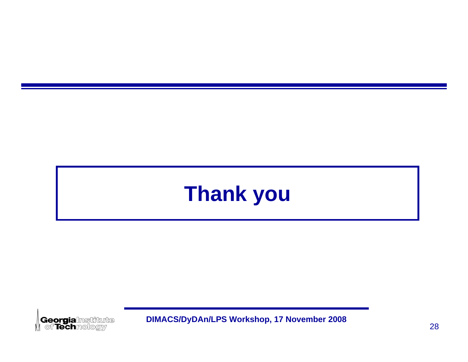# **Thank you Thank you**

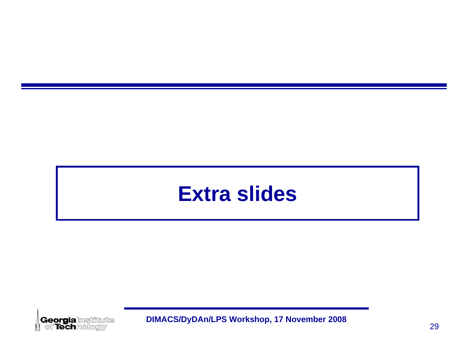## **Extra slides Extra slides**

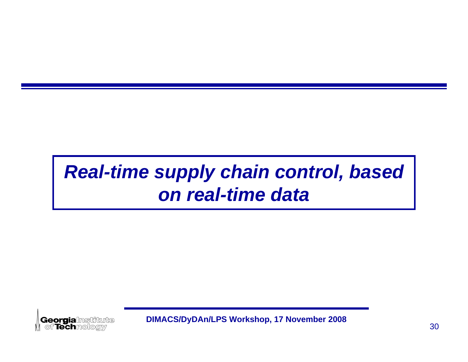## *Real-time supply chain control, based Real-time supply chain control, based on real-time dataon real-time data*

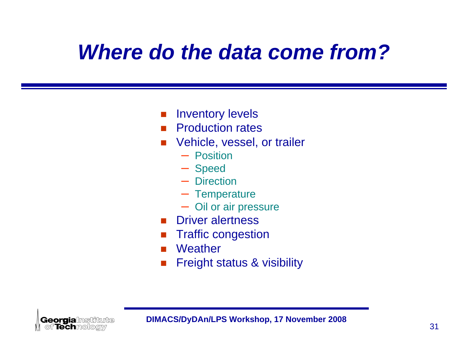# *Where do the data come from?*

- $\mathcal{L}_{\mathcal{A}}$ Inventory levels
- $\mathcal{L}^{\mathcal{L}}$  . Production rates
- F Vehicle, vessel, or trailer
	- Position
	- Speed
	- Direction
	- Temperature
	- Oil or air pressure
- Driver alertness
- Traffic congestion
- **Weather**
- Freight status & visibility